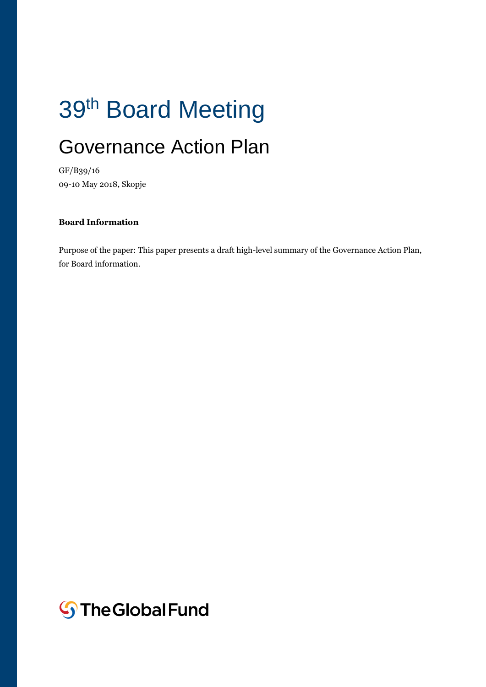# 39<sup>th</sup> Board Meeting

# Governance Action Plan

GF/B39/16 09-10 May 2018, Skopje

#### **Board Information**

Purpose of the paper: This paper presents a draft high-level summary of the Governance Action Plan, for Board information.

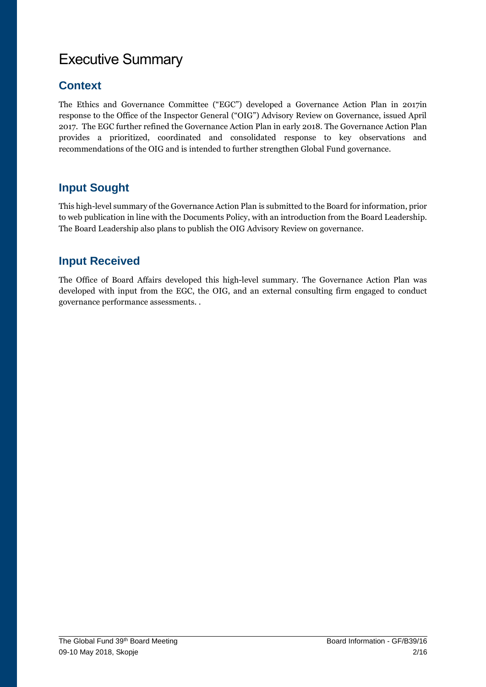# Executive Summary

# **Context**

The Ethics and Governance Committee ("EGC") developed a Governance Action Plan in 2017in response to the Office of the Inspector General ("OIG") Advisory Review on Governance, issued April 2017. The EGC further refined the Governance Action Plan in early 2018. The Governance Action Plan provides a prioritized, coordinated and consolidated response to key observations and recommendations of the OIG and is intended to further strengthen Global Fund governance.

# **Input Sought**

This high-level summary of the Governance Action Plan is submitted to the Board for information, prior to web publication in line with the Documents Policy, with an introduction from the Board Leadership. The Board Leadership also plans to publish the OIG Advisory Review on governance.

## **Input Received**

The Office of Board Affairs developed this high-level summary. The Governance Action Plan was developed with input from the EGC, the OIG, and an external consulting firm engaged to conduct governance performance assessments. .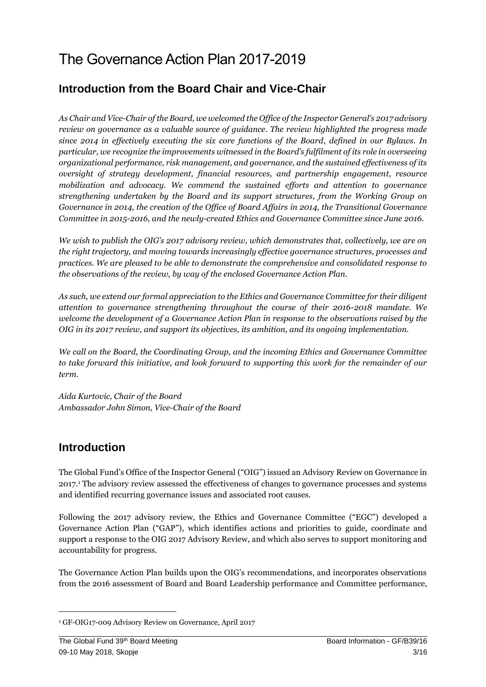# The Governance Action Plan 2017-2019

### **Introduction from the Board Chair and Vice-Chair**

*As Chair and Vice-Chair of the Board, we welcomed the Office of the Inspector General's 2017 advisory review on governance as a valuable source of guidance. The review highlighted the progress made since 2014 in effectively executing the six core functions of the Board, defined in our Bylaws. In particular, we recognize the improvements witnessed in the Board's fulfilment of its role in overseeing organizational performance, risk management, and governance, and the sustained effectiveness of its oversight of strategy development, financial resources, and partnership engagement, resource mobilization and advocacy. We commend the sustained efforts and attention to governance strengthening undertaken by the Board and its support structures, from the Working Group on Governance in 2014, the creation of the Office of Board Affairs in 2014, the Transitional Governance Committee in 2015-2016, and the newly-created Ethics and Governance Committee since June 2016.* 

*We wish to publish the OIG's 2017 advisory review, which demonstrates that, collectively, we are on the right trajectory, and moving towards increasingly effective governance structures, processes and practices. We are pleased to be able to demonstrate the comprehensive and consolidated response to the observations of the review, by way of the enclosed Governance Action Plan.*

*As such, we extend our formal appreciation to the Ethics and Governance Committee for their diligent attention to governance strengthening throughout the course of their 2016-2018 mandate. We welcome the development of a Governance Action Plan in response to the observations raised by the OIG in its 2017 review, and support its objectives, its ambition, and its ongoing implementation.* 

*We call on the Board, the Coordinating Group, and the incoming Ethics and Governance Committee to take forward this initiative, and look forward to supporting this work for the remainder of our term.*

*Aida Kurtovic, Chair of the Board Ambassador John Simon, Vice-Chair of the Board* 

### **Introduction**

The Global Fund's Office of the Inspector General ("OIG") issued an Advisory Review on Governance in 2017.<sup>1</sup> The advisory review assessed the effectiveness of changes to governance processes and systems and identified recurring governance issues and associated root causes.

Following the 2017 advisory review, the Ethics and Governance Committee ("EGC") developed a Governance Action Plan ("GAP"), which identifies actions and priorities to guide, coordinate and support a response to the OIG 2017 Advisory Review, and which also serves to support monitoring and accountability for progress.

The Governance Action Plan builds upon the OIG's recommendations, and incorporates observations from the 2016 assessment of Board and Board Leadership performance and Committee performance,

**.** 

<sup>1</sup> GF-OIG17-009 Advisory Review on Governance, April 2017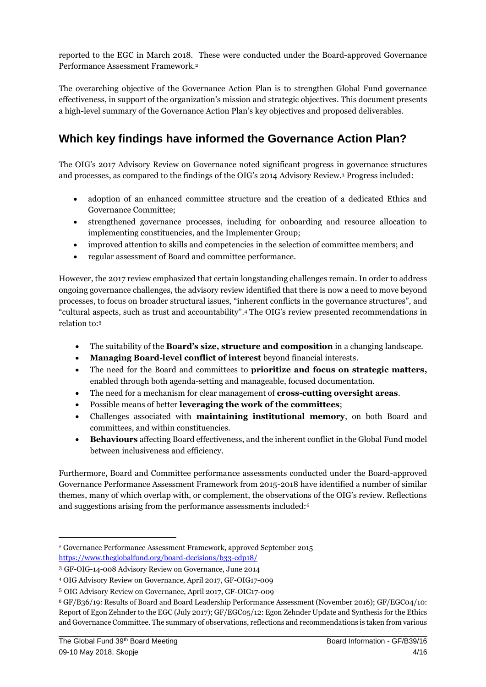reported to the EGC in March 2018. These were conducted under the Board-approved Governance Performance Assessment Framework.<sup>2</sup>

The overarching objective of the Governance Action Plan is to strengthen Global Fund governance effectiveness, in support of the organization's mission and strategic objectives. This document presents a high-level summary of the Governance Action Plan's key objectives and proposed deliverables.

### **Which key findings have informed the Governance Action Plan?**

The OIG's 2017 Advisory Review on Governance noted significant progress in governance structures and processes, as compared to the findings of the OIG's 2014 Advisory Review. <sup>3</sup> Progress included:

- adoption of an enhanced committee structure and the creation of a dedicated Ethics and Governance Committee;
- strengthened governance processes, including for onboarding and resource allocation to implementing constituencies, and the Implementer Group;
- improved attention to skills and competencies in the selection of committee members; and
- regular assessment of Board and committee performance.

However, the 2017 review emphasized that certain longstanding challenges remain. In order to address ongoing governance challenges, the advisory review identified that there is now a need to move beyond processes, to focus on broader structural issues, "inherent conflicts in the governance structures", and "cultural aspects, such as trust and accountability". <sup>4</sup> The OIG's review presented recommendations in relation to:<sup>5</sup>

- The suitability of the **Board's size, structure and composition** in a changing landscape.
- **Managing Board-level conflict of interest** beyond financial interests.
- The need for the Board and committees to **prioritize and focus on strategic matters,**  enabled through both agenda-setting and manageable, focused documentation.
- The need for a mechanism for clear management of **cross-cutting oversight areas**.
- Possible means of better **leveraging the work of the committees**;
- Challenges associated with **maintaining institutional memory**, on both Board and committees, and within constituencies.
- **Behaviours** affecting Board effectiveness, and the inherent conflict in the Global Fund model between inclusiveness and efficiency.

Furthermore, Board and Committee performance assessments conducted under the Board-approved Governance Performance Assessment Framework from 2015-2018 have identified a number of similar themes, many of which overlap with, or complement, the observations of the OIG's review. Reflections and suggestions arising from the performance assessments included:<sup>6</sup>

<sup>2</sup> Governance Performance Assessment Framework, approved September 2015 <https://www.theglobalfund.org/board-decisions/b33-edp18/>

<sup>3</sup> GF-OIG-14-008 Advisory Review on Governance, June 2014

<sup>4</sup> OIG Advisory Review on Governance, April 2017, GF-OIG17-009

<sup>5</sup> OIG Advisory Review on Governance, April 2017, GF-OIG17-009

<sup>6</sup> GF/B36/19: Results of Board and Board Leadership Performance Assessment (November 2016); GF/EGC04/10: Report of Egon Zehnder to the EGC (July 2017); GF/EGC05/12: Egon Zehnder Update and Synthesis for the Ethics and Governance Committee. The summary of observations, reflections and recommendations is taken from various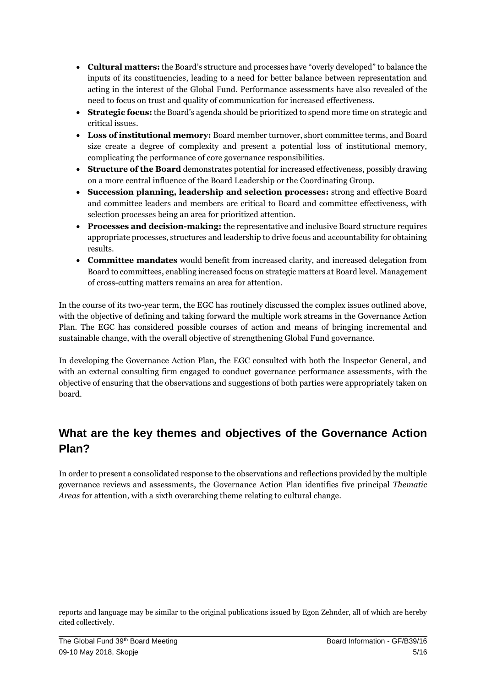- **Cultural matters:** the Board's structure and processes have "overly developed" to balance the inputs of its constituencies, leading to a need for better balance between representation and acting in the interest of the Global Fund. Performance assessments have also revealed of the need to focus on trust and quality of communication for increased effectiveness.
- **Strategic focus:** the Board's agenda should be prioritized to spend more time on strategic and critical issues.
- **Loss of institutional memory:** Board member turnover, short committee terms, and Board size create a degree of complexity and present a potential loss of institutional memory, complicating the performance of core governance responsibilities.
- **Structure of the Board** demonstrates potential for increased effectiveness, possibly drawing on a more central influence of the Board Leadership or the Coordinating Group.
- **Succession planning, leadership and selection processes:** strong and effective Board and committee leaders and members are critical to Board and committee effectiveness, with selection processes being an area for prioritized attention.
- **Processes and decision-making:** the representative and inclusive Board structure requires appropriate processes, structures and leadership to drive focus and accountability for obtaining results.
- **Committee mandates** would benefit from increased clarity, and increased delegation from Board to committees, enabling increased focus on strategic matters at Board level. Management of cross-cutting matters remains an area for attention.

In the course of its two-year term, the EGC has routinely discussed the complex issues outlined above, with the objective of defining and taking forward the multiple work streams in the Governance Action Plan. The EGC has considered possible courses of action and means of bringing incremental and sustainable change, with the overall objective of strengthening Global Fund governance.

In developing the Governance Action Plan, the EGC consulted with both the Inspector General, and with an external consulting firm engaged to conduct governance performance assessments, with the objective of ensuring that the observations and suggestions of both parties were appropriately taken on board.

# **What are the key themes and objectives of the Governance Action Plan?**

In order to present a consolidated response to the observations and reflections provided by the multiple governance reviews and assessments, the Governance Action Plan identifies five principal *Thematic Areas* for attention, with a sixth overarching theme relating to cultural change.

reports and language may be similar to the original publications issued by Egon Zehnder, all of which are hereby cited collectively.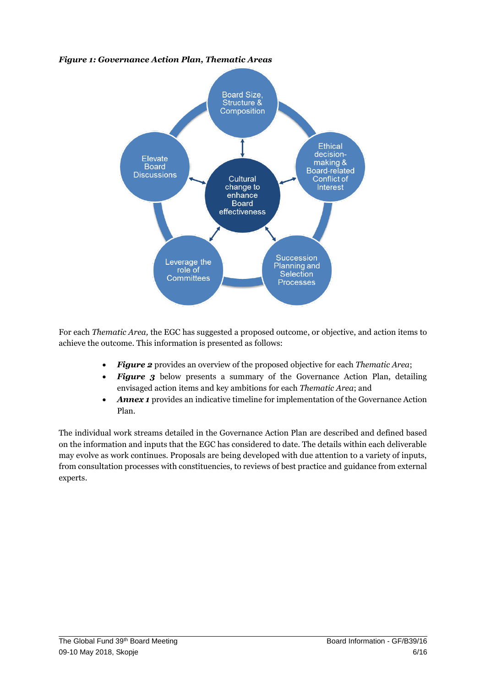#### *Figure 1: Governance Action Plan, Thematic Areas*



For each *Thematic Area,* the EGC has suggested a proposed outcome, or objective, and action items to achieve the outcome. This information is presented as follows:

- *Figure 2* provides an overview of the proposed objective for each *Thematic Area*;
- *Figure 3* below presents a summary of the Governance Action Plan, detailing envisaged action items and key ambitions for each *Thematic Area*; and
- *Annex 1* provides an indicative timeline for implementation of the Governance Action Plan.

The individual work streams detailed in the Governance Action Plan are described and defined based on the information and inputs that the EGC has considered to date. The details within each deliverable may evolve as work continues. Proposals are being developed with due attention to a variety of inputs, from consultation processes with constituencies, to reviews of best practice and guidance from external experts.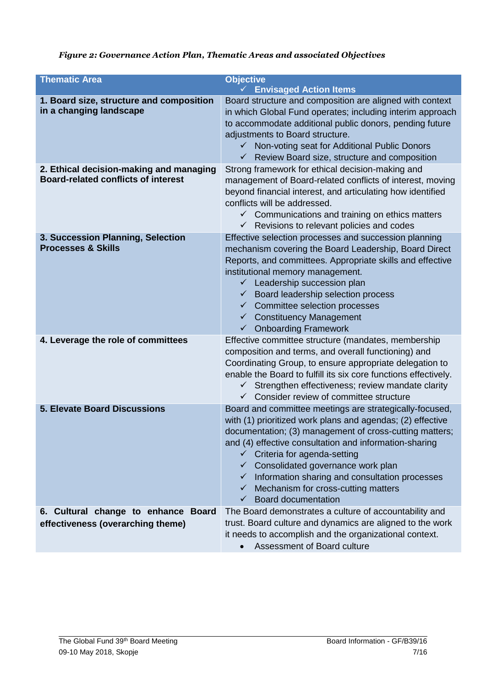#### *Figure 2: Governance Action Plan, Thematic Areas and associated Objectives*

| <b>Thematic Area</b>                                                                  | <b>Objective</b><br><b>Envisaged Action Items</b><br>$\sqrt{2}$                                                                                                                                                                                                                                                                                                                                                                                                                      |
|---------------------------------------------------------------------------------------|--------------------------------------------------------------------------------------------------------------------------------------------------------------------------------------------------------------------------------------------------------------------------------------------------------------------------------------------------------------------------------------------------------------------------------------------------------------------------------------|
| 1. Board size, structure and composition<br>in a changing landscape                   | Board structure and composition are aligned with context<br>in which Global Fund operates; including interim approach<br>to accommodate additional public donors, pending future<br>adjustments to Board structure.<br>✓ Non-voting seat for Additional Public Donors<br>$\checkmark$ Review Board size, structure and composition                                                                                                                                                   |
| 2. Ethical decision-making and managing<br><b>Board-related conflicts of interest</b> | Strong framework for ethical decision-making and<br>management of Board-related conflicts of interest, moving<br>beyond financial interest, and articulating how identified<br>conflicts will be addressed.<br>$\checkmark$ Communications and training on ethics matters<br>$\checkmark$ Revisions to relevant policies and codes                                                                                                                                                   |
| 3. Succession Planning, Selection<br><b>Processes &amp; Skills</b>                    | Effective selection processes and succession planning<br>mechanism covering the Board Leadership, Board Direct<br>Reports, and committees. Appropriate skills and effective<br>institutional memory management.<br>$\checkmark$ Leadership succession plan<br>$\checkmark$ Board leadership selection process<br>$\checkmark$ Committee selection processes<br>$\checkmark$ Constituency Management<br><b>Onboarding Framework</b><br>$\checkmark$                                   |
| 4. Leverage the role of committees                                                    | Effective committee structure (mandates, membership<br>composition and terms, and overall functioning) and<br>Coordinating Group, to ensure appropriate delegation to<br>enable the Board to fulfill its six core functions effectively.<br>Strengthen effectiveness; review mandate clarity<br>$\checkmark$<br>$\checkmark$ Consider review of committee structure                                                                                                                  |
| <b>5. Elevate Board Discussions</b>                                                   | Board and committee meetings are strategically-focused,<br>with (1) prioritized work plans and agendas; (2) effective<br>documentation; (3) management of cross-cutting matters;<br>and (4) effective consultation and information-sharing<br>Criteria for agenda-setting<br>$\checkmark$ Consolidated governance work plan<br>$\checkmark$ Information sharing and consultation processes<br>Mechanism for cross-cutting matters<br>$\checkmark$<br><b>Board documentation</b><br>✓ |
| 6. Cultural change to enhance Board<br>effectiveness (overarching theme)              | The Board demonstrates a culture of accountability and<br>trust. Board culture and dynamics are aligned to the work<br>it needs to accomplish and the organizational context.<br>Assessment of Board culture                                                                                                                                                                                                                                                                         |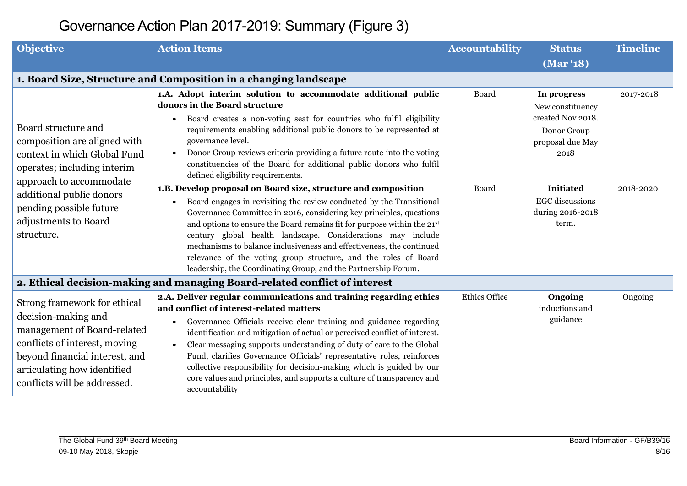| <b>Objective</b>                                                                                                                                                                                                     | <b>Action Items</b>                                                                                                                                                                                                                                                                                                                                                                                                                                                                                                                                                                                               | <b>Accountability</b> | <b>Status</b>                                                                                   | <b>Timeline</b> |
|----------------------------------------------------------------------------------------------------------------------------------------------------------------------------------------------------------------------|-------------------------------------------------------------------------------------------------------------------------------------------------------------------------------------------------------------------------------------------------------------------------------------------------------------------------------------------------------------------------------------------------------------------------------------------------------------------------------------------------------------------------------------------------------------------------------------------------------------------|-----------------------|-------------------------------------------------------------------------------------------------|-----------------|
|                                                                                                                                                                                                                      |                                                                                                                                                                                                                                                                                                                                                                                                                                                                                                                                                                                                                   |                       | (Mar '18)                                                                                       |                 |
|                                                                                                                                                                                                                      | 1. Board Size, Structure and Composition in a changing landscape                                                                                                                                                                                                                                                                                                                                                                                                                                                                                                                                                  |                       |                                                                                                 |                 |
| Board structure and<br>composition are aligned with<br>context in which Global Fund<br>operates; including interim<br>approach to accommodate                                                                        | 1.A. Adopt interim solution to accommodate additional public<br>donors in the Board structure<br>Board creates a non-voting seat for countries who fulfil eligibility<br>$\bullet$<br>requirements enabling additional public donors to be represented at<br>governance level.<br>Donor Group reviews criteria providing a future route into the voting<br>$\bullet$<br>constituencies of the Board for additional public donors who fulfil<br>defined eligibility requirements.                                                                                                                                  | Board                 | In progress<br>New constituency<br>created Nov 2018.<br>Donor Group<br>proposal due May<br>2018 | 2017-2018       |
| additional public donors<br>pending possible future<br>adjustments to Board<br>structure.                                                                                                                            | 1.B. Develop proposal on Board size, structure and composition<br>Board engages in revisiting the review conducted by the Transitional<br>Governance Committee in 2016, considering key principles, questions<br>and options to ensure the Board remains fit for purpose within the 21st<br>century global health landscape. Considerations may include<br>mechanisms to balance inclusiveness and effectiveness, the continued<br>relevance of the voting group structure, and the roles of Board<br>leadership, the Coordinating Group, and the Partnership Forum.                                              | Board                 | <b>Initiated</b><br><b>EGC</b> discussions<br>during 2016-2018<br>term.                         | 2018-2020       |
|                                                                                                                                                                                                                      | 2. Ethical decision-making and managing Board-related conflict of interest                                                                                                                                                                                                                                                                                                                                                                                                                                                                                                                                        |                       |                                                                                                 |                 |
| Strong framework for ethical<br>decision-making and<br>management of Board-related<br>conflicts of interest, moving<br>beyond financial interest, and<br>articulating how identified<br>conflicts will be addressed. | 2.A. Deliver regular communications and training regarding ethics<br>and conflict of interest-related matters<br>Governance Officials receive clear training and guidance regarding<br>$\bullet$<br>identification and mitigation of actual or perceived conflict of interest.<br>Clear messaging supports understanding of duty of care to the Global<br>$\bullet$<br>Fund, clarifies Governance Officials' representative roles, reinforces<br>collective responsibility for decision-making which is guided by our<br>core values and principles, and supports a culture of transparency and<br>accountability | <b>Ethics Office</b>  | Ongoing<br>inductions and<br>guidance                                                           | Ongoing         |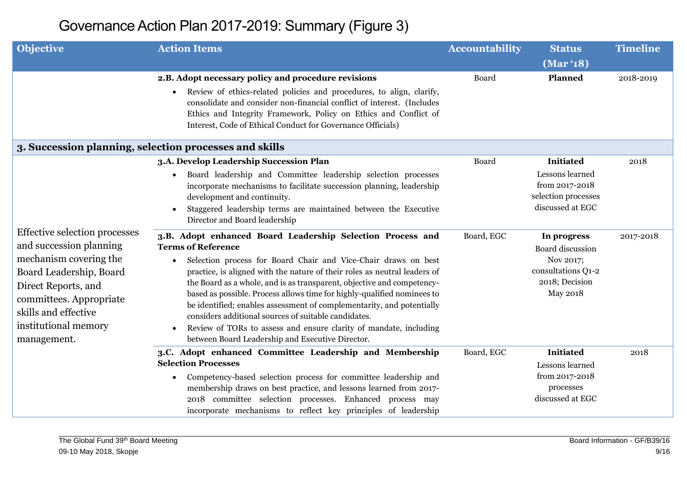| <b>Objective</b>                                                                                                                                                                                                               | <b>Action Items</b>                                                                                                                                                                                                                                                                                                                                                                                                                                                                                                                                                                                                                                                                                                                                                                                                                                                                                                                                                                                    | <b>Accountability</b> | <b>Status</b>                                                                                                                                                                                               | <b>Timeline</b>   |
|--------------------------------------------------------------------------------------------------------------------------------------------------------------------------------------------------------------------------------|--------------------------------------------------------------------------------------------------------------------------------------------------------------------------------------------------------------------------------------------------------------------------------------------------------------------------------------------------------------------------------------------------------------------------------------------------------------------------------------------------------------------------------------------------------------------------------------------------------------------------------------------------------------------------------------------------------------------------------------------------------------------------------------------------------------------------------------------------------------------------------------------------------------------------------------------------------------------------------------------------------|-----------------------|-------------------------------------------------------------------------------------------------------------------------------------------------------------------------------------------------------------|-------------------|
|                                                                                                                                                                                                                                |                                                                                                                                                                                                                                                                                                                                                                                                                                                                                                                                                                                                                                                                                                                                                                                                                                                                                                                                                                                                        |                       | (Mar '18)                                                                                                                                                                                                   |                   |
|                                                                                                                                                                                                                                | 2.B. Adopt necessary policy and procedure revisions<br>Review of ethics-related policies and procedures, to align, clarify,<br>$\bullet$<br>consolidate and consider non-financial conflict of interest. (Includes<br>Ethics and Integrity Framework, Policy on Ethics and Conflict of<br>Interest, Code of Ethical Conduct for Governance Officials)                                                                                                                                                                                                                                                                                                                                                                                                                                                                                                                                                                                                                                                  | Board                 | Planned                                                                                                                                                                                                     | 2018-2019         |
|                                                                                                                                                                                                                                | 3. Succession planning, selection processes and skills                                                                                                                                                                                                                                                                                                                                                                                                                                                                                                                                                                                                                                                                                                                                                                                                                                                                                                                                                 |                       |                                                                                                                                                                                                             |                   |
| Effective selection processes<br>and succession planning<br>mechanism covering the<br>Board Leadership, Board<br>Direct Reports, and<br>committees. Appropriate<br>skills and effective<br>institutional memory<br>management. | 3.A. Develop Leadership Succession Plan<br>Board leadership and Committee leadership selection processes<br>$\bullet$<br>incorporate mechanisms to facilitate succession planning, leadership<br>development and continuity.<br>Staggered leadership terms are maintained between the Executive<br>$\bullet$<br>Director and Board leadership<br>3.B. Adopt enhanced Board Leadership Selection Process and<br><b>Terms of Reference</b><br>Selection process for Board Chair and Vice-Chair draws on best<br>practice, is aligned with the nature of their roles as neutral leaders of<br>the Board as a whole, and is as transparent, objective and competency-<br>based as possible. Process allows time for highly-qualified nominees to<br>be identified; enables assessment of complementarity, and potentially<br>considers additional sources of suitable candidates.<br>Review of TORs to assess and ensure clarity of mandate, including<br>between Board Leadership and Executive Director. | Board<br>Board, EGC   | <b>Initiated</b><br>Lessons learned<br>from 2017-2018<br>selection processes<br>discussed at EGC<br>In progress<br>Board discussion<br>Nov 2017;<br>consultations Q1-2<br>2018; Decision<br><b>May 2018</b> | 2018<br>2017-2018 |
|                                                                                                                                                                                                                                | 3.C. Adopt enhanced Committee Leadership and Membership<br><b>Selection Processes</b><br>Competency-based selection process for committee leadership and<br>membership draws on best practice, and lessons learned from 2017-<br>2018 committee selection processes. Enhanced process may<br>incorporate mechanisms to reflect key principles of leadership                                                                                                                                                                                                                                                                                                                                                                                                                                                                                                                                                                                                                                            | Board, EGC            | <b>Initiated</b><br>Lessons learned<br>from 2017-2018<br>processes<br>discussed at EGC                                                                                                                      | 2018              |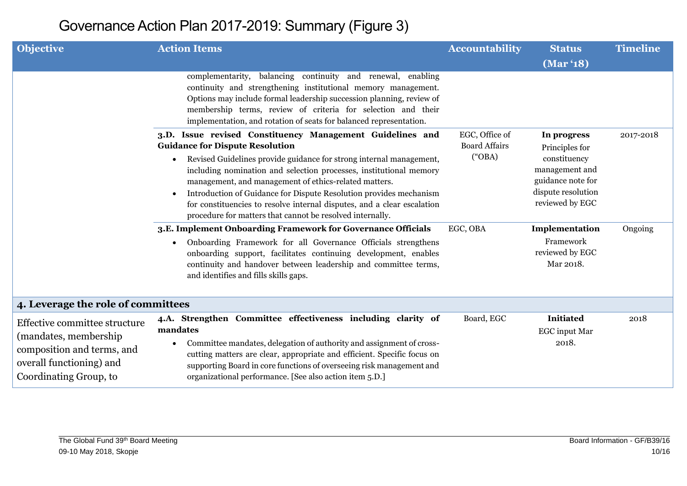| <b>Objective</b>                                                                                                                            | <b>Action Items</b>                                                                                                                                                                                                                                                                                                                                                                                                                        | <b>Accountability</b> | <b>Status</b>                                                                                | <b>Timeline</b> |
|---------------------------------------------------------------------------------------------------------------------------------------------|--------------------------------------------------------------------------------------------------------------------------------------------------------------------------------------------------------------------------------------------------------------------------------------------------------------------------------------------------------------------------------------------------------------------------------------------|-----------------------|----------------------------------------------------------------------------------------------|-----------------|
|                                                                                                                                             |                                                                                                                                                                                                                                                                                                                                                                                                                                            |                       | (Mar '18)                                                                                    |                 |
|                                                                                                                                             | complementarity, balancing continuity and renewal, enabling<br>continuity and strengthening institutional memory management.<br>Options may include formal leadership succession planning, review of<br>membership terms, review of criteria for selection and their<br>implementation, and rotation of seats for balanced representation.                                                                                                 |                       |                                                                                              |                 |
|                                                                                                                                             | 3.D. Issue revised Constituency Management Guidelines and                                                                                                                                                                                                                                                                                                                                                                                  | EGC, Office of        | In progress                                                                                  | 2017-2018       |
|                                                                                                                                             | <b>Guidance for Dispute Resolution</b>                                                                                                                                                                                                                                                                                                                                                                                                     | <b>Board Affairs</b>  | Principles for                                                                               |                 |
|                                                                                                                                             | Revised Guidelines provide guidance for strong internal management,<br>$\bullet$<br>including nomination and selection processes, institutional memory<br>management, and management of ethics-related matters.<br>Introduction of Guidance for Dispute Resolution provides mechanism<br>$\bullet$<br>for constituencies to resolve internal disputes, and a clear escalation<br>procedure for matters that cannot be resolved internally. | ("OBA")               | constituency<br>management and<br>guidance note for<br>dispute resolution<br>reviewed by EGC |                 |
|                                                                                                                                             | 3.E. Implement Onboarding Framework for Governance Officials                                                                                                                                                                                                                                                                                                                                                                               | EGC, OBA              | Implementation                                                                               | Ongoing         |
|                                                                                                                                             | Onboarding Framework for all Governance Officials strengthens<br>$\bullet$<br>onboarding support, facilitates continuing development, enables<br>continuity and handover between leadership and committee terms,<br>and identifies and fills skills gaps.                                                                                                                                                                                  |                       | Framework<br>reviewed by EGC<br>Mar 2018.                                                    |                 |
| 4. Leverage the role of committees                                                                                                          |                                                                                                                                                                                                                                                                                                                                                                                                                                            |                       |                                                                                              |                 |
| Effective committee structure<br>(mandates, membership)<br>composition and terms, and<br>overall functioning) and<br>Coordinating Group, to | 4.A. Strengthen Committee effectiveness including clarity of<br>mandates<br>Committee mandates, delegation of authority and assignment of cross-<br>cutting matters are clear, appropriate and efficient. Specific focus on<br>supporting Board in core functions of overseeing risk management and<br>organizational performance. [See also action item 5.D.]                                                                             | Board, EGC            | <b>Initiated</b><br><b>EGC</b> input Mar<br>2018.                                            | 2018            |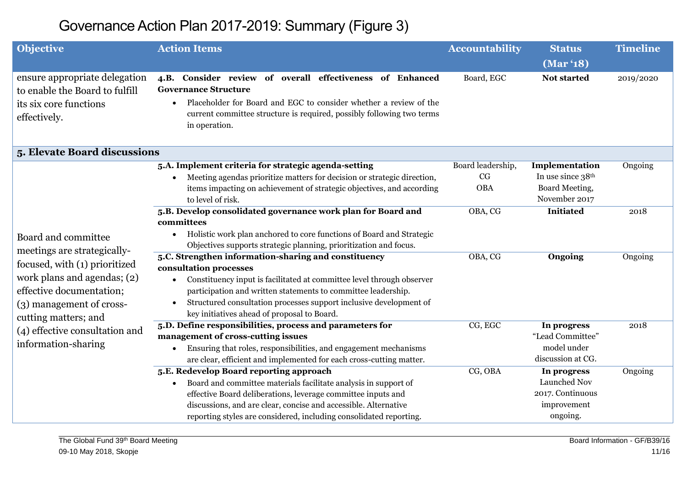| <b>Objective</b>                                                                                          | <b>Action Items</b>                                                                                                                                                                                                                                                  | <b>Accountability</b> | <b>Status</b>                   | <b>Timeline</b> |
|-----------------------------------------------------------------------------------------------------------|----------------------------------------------------------------------------------------------------------------------------------------------------------------------------------------------------------------------------------------------------------------------|-----------------------|---------------------------------|-----------------|
|                                                                                                           |                                                                                                                                                                                                                                                                      |                       | (Mar '18)                       |                 |
| ensure appropriate delegation<br>to enable the Board to fulfill<br>its six core functions<br>effectively. | 4.B. Consider review of overall effectiveness of Enhanced<br><b>Governance Structure</b><br>Placeholder for Board and EGC to consider whether a review of the<br>$\bullet$<br>current committee structure is required, possibly following two terms<br>in operation. | Board, EGC            | Not started                     | 2019/2020       |
| 5. Elevate Board discussions                                                                              |                                                                                                                                                                                                                                                                      |                       |                                 |                 |
|                                                                                                           | 5.A. Implement criteria for strategic agenda-setting                                                                                                                                                                                                                 | Board leadership,     | Implementation                  | Ongoing         |
|                                                                                                           | Meeting agendas prioritize matters for decision or strategic direction,<br>$\bullet$                                                                                                                                                                                 | CG                    | In use since 38th               |                 |
|                                                                                                           | items impacting on achievement of strategic objectives, and according<br>to level of risk.                                                                                                                                                                           | <b>OBA</b>            | Board Meeting,<br>November 2017 |                 |
|                                                                                                           | 5.B. Develop consolidated governance work plan for Board and<br>committees                                                                                                                                                                                           | OBA, CG               | <b>Initiated</b>                | 2018            |
| Board and committee<br>meetings are strategically-                                                        | Holistic work plan anchored to core functions of Board and Strategic<br>$\bullet$<br>Objectives supports strategic planning, prioritization and focus.                                                                                                               |                       |                                 |                 |
| focused, with (1) prioritized                                                                             | 5.C. Strengthen information-sharing and constituency                                                                                                                                                                                                                 | OBA, CG               | Ongoing                         | Ongoing         |
|                                                                                                           | consultation processes                                                                                                                                                                                                                                               |                       |                                 |                 |
| work plans and agendas; (2)<br>effective documentation;                                                   | Constituency input is facilitated at committee level through observer<br>$\bullet$<br>participation and written statements to committee leadership.                                                                                                                  |                       |                                 |                 |
| (3) management of cross-<br>cutting matters; and                                                          | Structured consultation processes support inclusive development of<br>$\bullet$<br>key initiatives ahead of proposal to Board.                                                                                                                                       |                       |                                 |                 |
| (4) effective consultation and                                                                            | 5.D. Define responsibilities, process and parameters for                                                                                                                                                                                                             | CG, EGC               | In progress                     | 2018            |
|                                                                                                           | management of cross-cutting issues                                                                                                                                                                                                                                   |                       | "Lead Committee"                |                 |
| information-sharing                                                                                       | Ensuring that roles, responsibilities, and engagement mechanisms<br>$\bullet$                                                                                                                                                                                        |                       | model under                     |                 |
|                                                                                                           | are clear, efficient and implemented for each cross-cutting matter.                                                                                                                                                                                                  |                       | discussion at CG.               |                 |
|                                                                                                           | 5.E. Redevelop Board reporting approach                                                                                                                                                                                                                              | CG, OBA               | In progress                     | Ongoing         |
|                                                                                                           | Board and committee materials facilitate analysis in support of<br>$\bullet$                                                                                                                                                                                         |                       | Launched Nov                    |                 |
|                                                                                                           | effective Board deliberations, leverage committee inputs and                                                                                                                                                                                                         |                       | 2017. Continuous                |                 |
|                                                                                                           | discussions, and are clear, concise and accessible. Alternative                                                                                                                                                                                                      |                       | improvement                     |                 |
|                                                                                                           | reporting styles are considered, including consolidated reporting.                                                                                                                                                                                                   |                       | ongoing.                        |                 |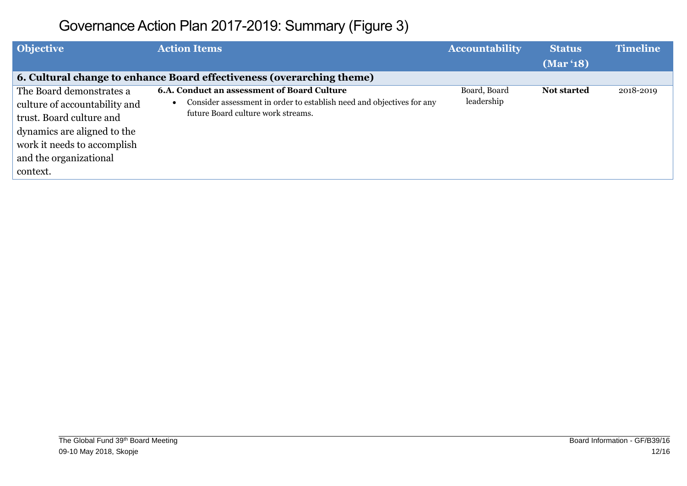| <b>Objective</b>                                                                                                                                                              | <b>Action Items</b>                                                                                                                                               | <b>Accountability</b>      | <b>Status</b> | <b>Timeline</b> |
|-------------------------------------------------------------------------------------------------------------------------------------------------------------------------------|-------------------------------------------------------------------------------------------------------------------------------------------------------------------|----------------------------|---------------|-----------------|
|                                                                                                                                                                               |                                                                                                                                                                   |                            | (Mar '18)     |                 |
|                                                                                                                                                                               | 6. Cultural change to enhance Board effectiveness (overarching theme)                                                                                             |                            |               |                 |
| The Board demonstrates a<br>culture of accountability and<br>trust. Board culture and<br>dynamics are aligned to the<br>work it needs to accomplish<br>and the organizational | <b>6.A. Conduct an assessment of Board Culture</b><br>Consider assessment in order to establish need and objectives for any<br>future Board culture work streams. | Board, Board<br>leadership | Not started   | 2018-2019       |
| context.                                                                                                                                                                      |                                                                                                                                                                   |                            |               |                 |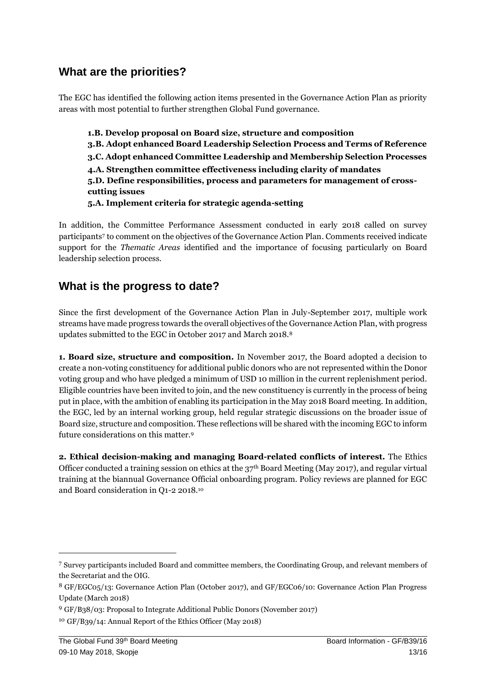### **What are the priorities?**

The EGC has identified the following action items presented in the Governance Action Plan as priority areas with most potential to further strengthen Global Fund governance.

**1.B. Develop proposal on Board size, structure and composition 3.B. Adopt enhanced Board Leadership Selection Process and Terms of Reference 3.C. Adopt enhanced Committee Leadership and Membership Selection Processes 4.A. Strengthen committee effectiveness including clarity of mandates 5.D. Define responsibilities, process and parameters for management of crosscutting issues 5.A. Implement criteria for strategic agenda-setting**

In addition, the Committee Performance Assessment conducted in early 2018 called on survey participants<sup>7</sup> to comment on the objectives of the Governance Action Plan. Comments received indicate support for the *Thematic Areas* identified and the importance of focusing particularly on Board leadership selection process.

### **What is the progress to date?**

Since the first development of the Governance Action Plan in July-September 2017, multiple work streams have made progress towards the overall objectives of the Governance Action Plan, with progress updates submitted to the EGC in October 2017 and March 2018.<sup>8</sup>

**1. Board size, structure and composition.** In November 2017, the Board adopted a decision to create a non-voting constituency for additional public donors who are not represented within the Donor voting group and who have pledged a minimum of USD 10 million in the current replenishment period. Eligible countries have been invited to join, and the new constituency is currently in the process of being put in place, with the ambition of enabling its participation in the May 2018 Board meeting. In addition, the EGC, led by an internal working group, held regular strategic discussions on the broader issue of Board size, structure and composition. These reflections will be shared with the incoming EGC to inform future considerations on this matter.<sup>9</sup>

**2. Ethical decision-making and managing Board-related conflicts of interest.** The Ethics Officer conducted a training session on ethics at the  $37<sup>th</sup>$  Board Meeting (May 2017), and regular virtual training at the biannual Governance Official onboarding program. Policy reviews are planned for EGC and Board consideration in Q1-2 2018.<sup>10</sup>

<sup>7</sup> Survey participants included Board and committee members, the Coordinating Group, and relevant members of the Secretariat and the OIG.

<sup>8</sup> GF/EGC05/13: Governance Action Plan (October 2017), and GF/EGC06/10: Governance Action Plan Progress Update (March 2018)

<sup>9</sup> GF/B38/03: Proposal to Integrate Additional Public Donors (November 2017)

<sup>10</sup> GF/B39/14: Annual Report of the Ethics Officer (May 2018)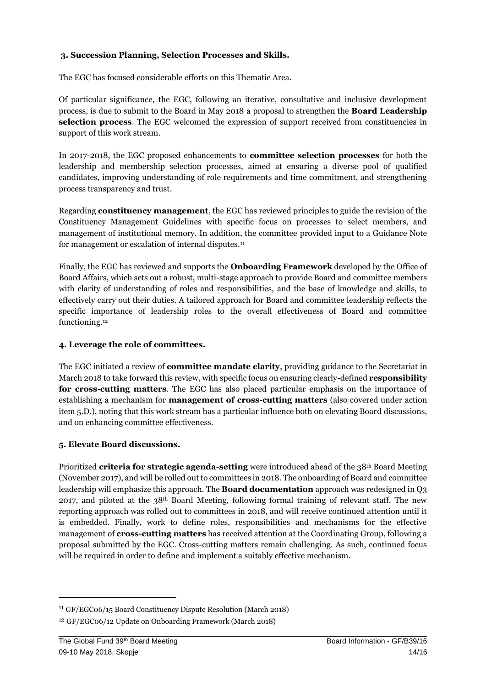#### **3. Succession Planning, Selection Processes and Skills.**

The EGC has focused considerable efforts on this Thematic Area.

Of particular significance, the EGC, following an iterative, consultative and inclusive development process, is due to submit to the Board in May 2018 a proposal to strengthen the **Board Leadership selection process**. The EGC welcomed the expression of support received from constituencies in support of this work stream.

In 2017-2018, the EGC proposed enhancements to **committee selection processes** for both the leadership and membership selection processes, aimed at ensuring a diverse pool of qualified candidates, improving understanding of role requirements and time commitment, and strengthening process transparency and trust.

Regarding **constituency management**, the EGC has reviewed principles to guide the revision of the Constituency Management Guidelines with specific focus on processes to select members, and management of institutional memory. In addition, the committee provided input to a Guidance Note for management or escalation of internal disputes.<sup>11</sup>

Finally, the EGC has reviewed and supports the **Onboarding Framework** developed by the Office of Board Affairs, which sets out a robust, multi-stage approach to provide Board and committee members with clarity of understanding of roles and responsibilities, and the base of knowledge and skills, to effectively carry out their duties. A tailored approach for Board and committee leadership reflects the specific importance of leadership roles to the overall effectiveness of Board and committee functioning.<sup>12</sup>

#### **4. Leverage the role of committees.**

The EGC initiated a review of **committee mandate clarity**, providing guidance to the Secretariat in March 2018 to take forward this review, with specific focus on ensuring clearly-defined **responsibility for cross-cutting matters**. The EGC has also placed particular emphasis on the importance of establishing a mechanism for **management of cross-cutting matters** (also covered under action item 5.D.), noting that this work stream has a particular influence both on elevating Board discussions, and on enhancing committee effectiveness.

#### **5. Elevate Board discussions.**

Prioritized **criteria for strategic agenda-setting** were introduced ahead of the 38th Board Meeting (November 2017), and will be rolled out to committees in 2018. The onboarding of Board and committee leadership will emphasize this approach. The **Board documentation** approach was redesigned in Q3 2017, and piloted at the  $38<sup>th</sup>$  Board Meeting, following formal training of relevant staff. The new reporting approach was rolled out to committees in 2018, and will receive continued attention until it is embedded. Finally, work to define roles, responsibilities and mechanisms for the effective management of **cross-cutting matters** has received attention at the Coordinating Group, following a proposal submitted by the EGC. Cross-cutting matters remain challenging. As such, continued focus will be required in order to define and implement a suitably effective mechanism.

<sup>11</sup> GF/EGC06/15 Board Constituency Dispute Resolution (March 2018)

<sup>12</sup> GF/EGC06/12 Update on Onboarding Framework (March 2018)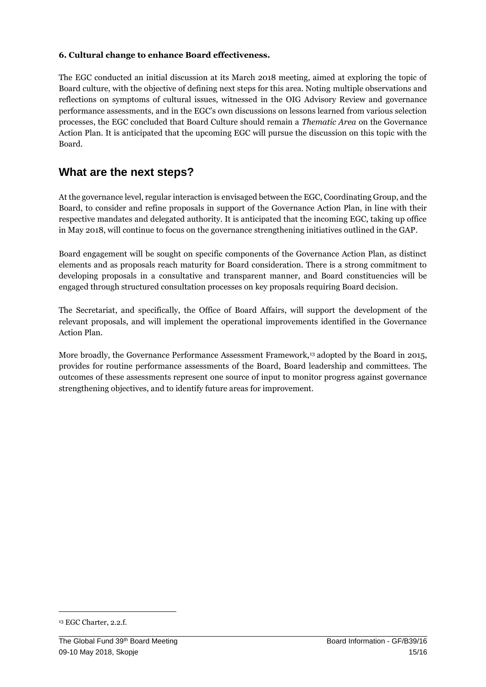#### **6. Cultural change to enhance Board effectiveness.**

The EGC conducted an initial discussion at its March 2018 meeting, aimed at exploring the topic of Board culture, with the objective of defining next steps for this area. Noting multiple observations and reflections on symptoms of cultural issues, witnessed in the OIG Advisory Review and governance performance assessments, and in the EGC's own discussions on lessons learned from various selection processes, the EGC concluded that Board Culture should remain a *Thematic Area* on the Governance Action Plan. It is anticipated that the upcoming EGC will pursue the discussion on this topic with the Board.

### **What are the next steps?**

At the governance level, regular interaction is envisaged between the EGC, Coordinating Group, and the Board, to consider and refine proposals in support of the Governance Action Plan, in line with their respective mandates and delegated authority. It is anticipated that the incoming EGC, taking up office in May 2018, will continue to focus on the governance strengthening initiatives outlined in the GAP.

Board engagement will be sought on specific components of the Governance Action Plan, as distinct elements and as proposals reach maturity for Board consideration. There is a strong commitment to developing proposals in a consultative and transparent manner, and Board constituencies will be engaged through structured consultation processes on key proposals requiring Board decision.

The Secretariat, and specifically, the Office of Board Affairs, will support the development of the relevant proposals, and will implement the operational improvements identified in the Governance Action Plan.

More broadly, the Governance Performance Assessment Framework,<sup>13</sup> adopted by the Board in 2015, provides for routine performance assessments of the Board, Board leadership and committees. The outcomes of these assessments represent one source of input to monitor progress against governance strengthening objectives, and to identify future areas for improvement.

**.** 

<sup>13</sup> EGC Charter, 2.2.f.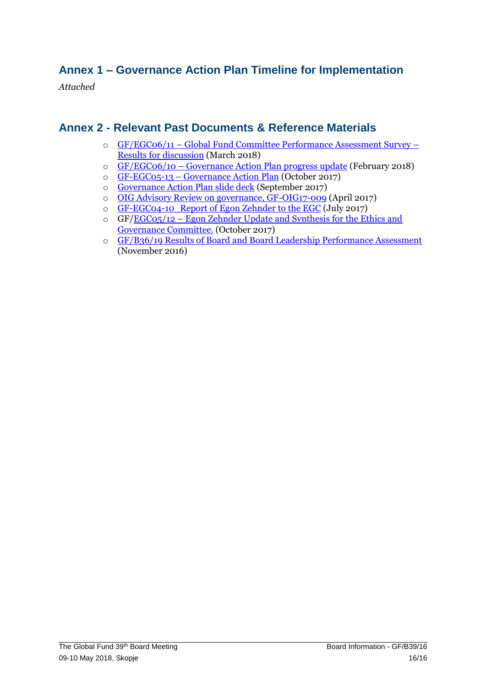## **Annex 1 – Governance Action Plan Timeline for Implementation**

*Attached* 

#### **Annex 2 - Relevant Past Documents & Reference Materials**

- o GF/EGC06/11 – [Global Fund Committee Performance Assessment Survey](https://tgf.sharepoint.com/sites/ESOBA1/GFBC/EthicsandGovernanceCommitteeEGC/Forms/AllItems.aspx?RootFolder=%2Fsites%2FESOBA1%2FGFBC%2FEthicsandGovernanceCommitteeEGC%2FMeeting%20Documents%2FEGC06%5FMeeting%20Documents%2FWorking%20Documents&FolderCTID=0x012000C1C929A46EAAD44FA511FF0F17C6760500B580F4EE8C7FEF42BB5B36638EFDF19E&View=%7B266C69E3%2DE8EC%2D4997%2DB467%2D01B4A152B7BB%7D)  [Results for discussion](https://tgf.sharepoint.com/sites/ESOBA1/GFBC/EthicsandGovernanceCommitteeEGC/Forms/AllItems.aspx?RootFolder=%2Fsites%2FESOBA1%2FGFBC%2FEthicsandGovernanceCommitteeEGC%2FMeeting%20Documents%2FEGC06%5FMeeting%20Documents%2FWorking%20Documents&FolderCTID=0x012000C1C929A46EAAD44FA511FF0F17C6760500B580F4EE8C7FEF42BB5B36638EFDF19E&View=%7B266C69E3%2DE8EC%2D4997%2DB467%2D01B4A152B7BB%7D) (March 2018)
- o GF/EGC06/10 – [Governance Action Plan progress update](https://tgf.sharepoint.com/sites/ESOBA1/GFBC/EthicsandGovernanceCommitteeEGC/Forms/AllItems.aspx?RootFolder=%2Fsites%2FESOBA1%2FGFBC%2FEthicsandGovernanceCommitteeEGC%2FMeeting%20Documents%2FEGC06%5FMeeting%20Documents%2FWorking%20Documents&FolderCTID=0x012000C1C929A46EAAD44FA511FF0F17C6760500B580F4EE8C7FEF42BB5B36638EFDF19E&View=%7B266C69E3%2DE8EC%2D4997%2DB467%2D01B4A152B7BB%7D) (February 2018)
- o GF-EGC05-13 – [Governance Action Plan](https://tgf.sharepoint.com/sites/ESOBA1/GFBC/EthicsandGovernanceCommitteeEGC/Forms/AllItems.aspx?RootFolder=%2Fsites%2FESOBA1%2FGFBC%2FEthicsandGovernanceCommitteeEGC%2FMeeting%20Documents%2FEGC05%5FMeeting%20Documents%2FWorking%20Documents&FolderCTID=0x012000C1C929A46EAAD44FA511FF0F17C6760500B580F4EE8C7FEF42BB5B36638EFDF19E&View=%7B266C69E3%2DE8EC%2D4997%2DB467%2D01B4A152B7BB%7D) (October 2017)
- o [Governance Action Plan slide deck](https://tgf.sharepoint.com/sites/ESOBA1/GFBC/EthicsandGovernanceCommitteeEGC/Forms/AllItems.aspx?RootFolder=%2Fsites%2FESOBA1%2FGFBC%2FEthicsandGovernanceCommitteeEGC%2FMeeting%20Documents%2FEGC05%5FMeeting%20Documents%2FSupporting%20Background%20Documentation&FolderCTID=0x012000C1C929A46EAAD44FA511FF0F17C6760500B580F4EE8C7FEF42BB5B36638EFDF19E&View=%7B266C69E3%2DE8EC%2D4997%2DB467%2D01B4A152B7BB%7D) (September 2017)
- o [OIG Advisory Review on governance, GF-OIG17-009](https://tgf.sharepoint.com/sites/ESOBA1/GFBC/EthicsandGovernanceCommitteeEGC/Forms/AllItems.aspx?RootFolder=%2Fsites%2FESOBA1%2FGFBC%2FEthicsandGovernanceCommitteeEGC%2FMeeting%20Documents%2FEGC06%5FMeeting%20Documents%2FSupporting%20Background%20Documentation&FolderCTID=0x012000C1C929A46EAAD44FA511FF0F17C6760500B580F4EE8C7FEF42BB5B36638EFDF19E&View=%7B266C69E3%2DE8EC%2D4997%2DB467%2D01B4A152B7BB%7D) (April 2017)
- o [GF-EGC04-10\\_Report of Egon Zehnder to the EGC](file:///C:/Users/ESOBA1/GFBC/EthicsandGovernanceCommitteeEGC/Forms/AllItems.aspx) (July 2017)
- $\circ$  GF[/EGC05/12](https://tgf.sharepoint.com/sites/ESOBA1/GFBC/_layouts/15/DocIdRedir.aspx?ID=W54V3UNNTYHT-1275396797-311) [–](https://tgf.sharepoint.com/sites/ESOBA1/GFBC/_layouts/15/DocIdRedir.aspx?ID=W54V3UNNTYHT-1275396797-311) [Egon](https://tgf.sharepoint.com/sites/ESOBA1/GFBC/_layouts/15/DocIdRedir.aspx?ID=W54V3UNNTYHT-1275396797-311) Zehnder Update and Synthesis for the Ethics and [Governance Committee.](https://tgf.sharepoint.com/sites/ESOBA1/GFBC/_layouts/15/DocIdRedir.aspx?ID=W54V3UNNTYHT-1275396797-311) (October 2017)
- o [GF/B36/19 Results of Board and Board Leadership Performance Assessment](https://tgf.sharepoint.com/sites/ESOBA1/GFBC/_layouts/15/DocIdRedir.aspx?ID=JUDPXH3KJM5K-10-92) (November 2016)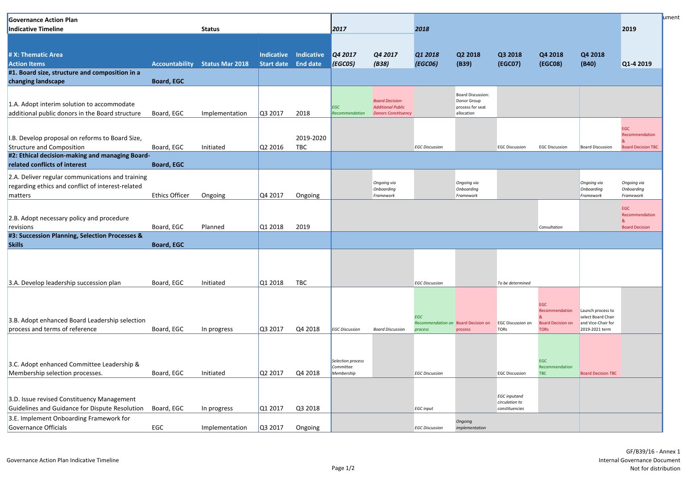| <b>Governance Action Plan</b><br>Indicative Timeline                                                             |                       | <b>Status</b>   |                                                 |            |                                | 2017                                                                             |                       |                                                                           |                                                         |                                         |                                                               | 2019                                                  |
|------------------------------------------------------------------------------------------------------------------|-----------------------|-----------------|-------------------------------------------------|------------|--------------------------------|----------------------------------------------------------------------------------|-----------------------|---------------------------------------------------------------------------|---------------------------------------------------------|-----------------------------------------|---------------------------------------------------------------|-------------------------------------------------------|
|                                                                                                                  |                       |                 |                                                 |            |                                |                                                                                  | 2018                  |                                                                           |                                                         |                                         |                                                               |                                                       |
| # X: Thematic Area<br><b>Action Items</b>                                                                        | <b>Accountability</b> | Status Mar 2018 | <b>Indicative</b><br><b>Start date</b> End date | Indicative | Q4 2017<br><b>(EGC05)</b>      | Q4 2017<br>(B38)                                                                 | Q1 2018<br>(EGC06)    | Q2 2018<br>(B39)                                                          | Q3 2018<br>(EGC07)                                      | Q4 2018<br>(EGC08)                      | Q4 2018<br>(B40)                                              | Q1-4 2019                                             |
| #1. Board size, structure and composition in a<br>changing landscape                                             | <b>Board, EGC</b>     |                 |                                                 |            |                                |                                                                                  |                       |                                                                           |                                                         |                                         |                                                               |                                                       |
| 1.A. Adopt interim solution to accommodate<br>additional public donors in the Board structure                    | Board, EGC            | Implementation  | Q3 2017                                         | 2018       | <b>EGC</b><br>Recommendation   | <b>Board Decision-</b><br><b>Additional Public</b><br><b>Donors Constituency</b> |                       | <b>Board Discussion:</b><br>Donor Group<br>process for seat<br>allocation |                                                         |                                         |                                                               |                                                       |
| I.B. Develop proposal on reforms to Board Size,                                                                  |                       |                 |                                                 | 2019-2020  |                                |                                                                                  |                       |                                                                           |                                                         |                                         |                                                               | EGC<br>Recommendation                                 |
| <b>Structure and Composition</b><br>#2: Ethical decision-making and managing Board-                              | Board, EGC            | Initiated       | Q2 2016                                         | <b>TBC</b> |                                |                                                                                  | <b>EGC Discussion</b> |                                                                           | <b>EGC Discussion</b>                                   | <b>EGC Discussion</b>                   | <b>Board Discussion</b>                                       | <b>Board Decision TBC</b>                             |
| related conflicts of interest                                                                                    | <b>Board, EGC</b>     |                 |                                                 |            |                                |                                                                                  |                       |                                                                           |                                                         |                                         |                                                               |                                                       |
| 2.A. Deliver regular communications and training<br>regarding ethics and conflict of interest-related<br>matters | <b>Ethics Officer</b> | Ongoing         | $\sqrt{Q4\,2017}$                               | Ongoing    |                                | Ongoing via<br>Onboarding<br>Framework                                           |                       | Ongoing via<br>Onboarding<br>Framework                                    |                                                         |                                         | Ongoing via<br>Onboarding<br>Framework                        | Ongoing via<br>Onboarding<br>Framework                |
| 2.B. Adopt necessary policy and procedure<br>revisions                                                           | Board, EGC            | Planned         | Q12018                                          | 2019       |                                |                                                                                  |                       |                                                                           |                                                         | Consultation                            |                                                               | <b>EGC</b><br>Recommendation<br><b>Board Decision</b> |
| #3: Succession Planning, Selection Processes &<br><b>Skills</b>                                                  | <b>Board, EGC</b>     |                 |                                                 |            |                                |                                                                                  |                       |                                                                           |                                                         |                                         |                                                               |                                                       |
|                                                                                                                  |                       |                 |                                                 |            |                                |                                                                                  |                       |                                                                           |                                                         |                                         |                                                               |                                                       |
| 3.A. Develop leadership succession plan                                                                          | Board, EGC            | Initiated       | Q12018                                          | <b>TBC</b> |                                |                                                                                  | <b>EGC Discussion</b> |                                                                           | To be determined                                        |                                         |                                                               |                                                       |
| 3.B. Adopt enhanced Board Leadership selection                                                                   |                       |                 |                                                 |            |                                |                                                                                  | <b>EGC</b>            | Recommendation on Board Decision on                                       |                                                         | EGC<br>Recommendation                   | Launch process to<br>select Board Chair<br>and Vice-Chair for |                                                       |
| process and terms of reference                                                                                   | Board, EGC            | In progress     | Q3 2017                                         | Q4 2018    | <b>EGC Discussion</b>          | <b>Board Discussion</b>                                                          | process               | process                                                                   | <b>EGC Discussion on</b><br><b>TORS</b>                 | <b>Board Decision on</b><br><b>TORS</b> | 2019-2021 term                                                |                                                       |
| 3.C. Adopt enhanced Committee Leadership &                                                                       |                       |                 |                                                 |            | Selection process<br>Committee |                                                                                  |                       |                                                                           |                                                         | <b>EGC</b><br>Recommendation            |                                                               |                                                       |
| Membership selection processes.                                                                                  | Board, EGC            | Initiated       | Q2 2017                                         | Q4 2018    | Membership                     |                                                                                  | <b>EGC Discussion</b> |                                                                           | <b>EGC Discussion</b>                                   | <b>TBC</b>                              | <b>Board Decision TBC</b>                                     |                                                       |
| 3.D. Issue revised Constituency Management<br>Guidelines and Guidance for Dispute Resolution                     | Board, EGC            | In progress     | Q1 2017                                         | Q3 2018    |                                |                                                                                  | <b>EGC</b> input      |                                                                           | <b>EGC</b> inputand<br>circulation to<br>constituencies |                                         |                                                               |                                                       |
| 3.E. Implement Onboarding Framework for                                                                          |                       |                 |                                                 |            |                                |                                                                                  |                       | Ongoing                                                                   |                                                         |                                         |                                                               |                                                       |
| Governance Officials                                                                                             | EGC                   | Implementation  | $\sqrt{Q}3 2017$                                | Ongoing    |                                |                                                                                  | <b>EGC Discussion</b> | implementation                                                            |                                                         |                                         |                                                               |                                                       |

GF/B39/16 - Annex 1 Internal Governance Document Not for distribution